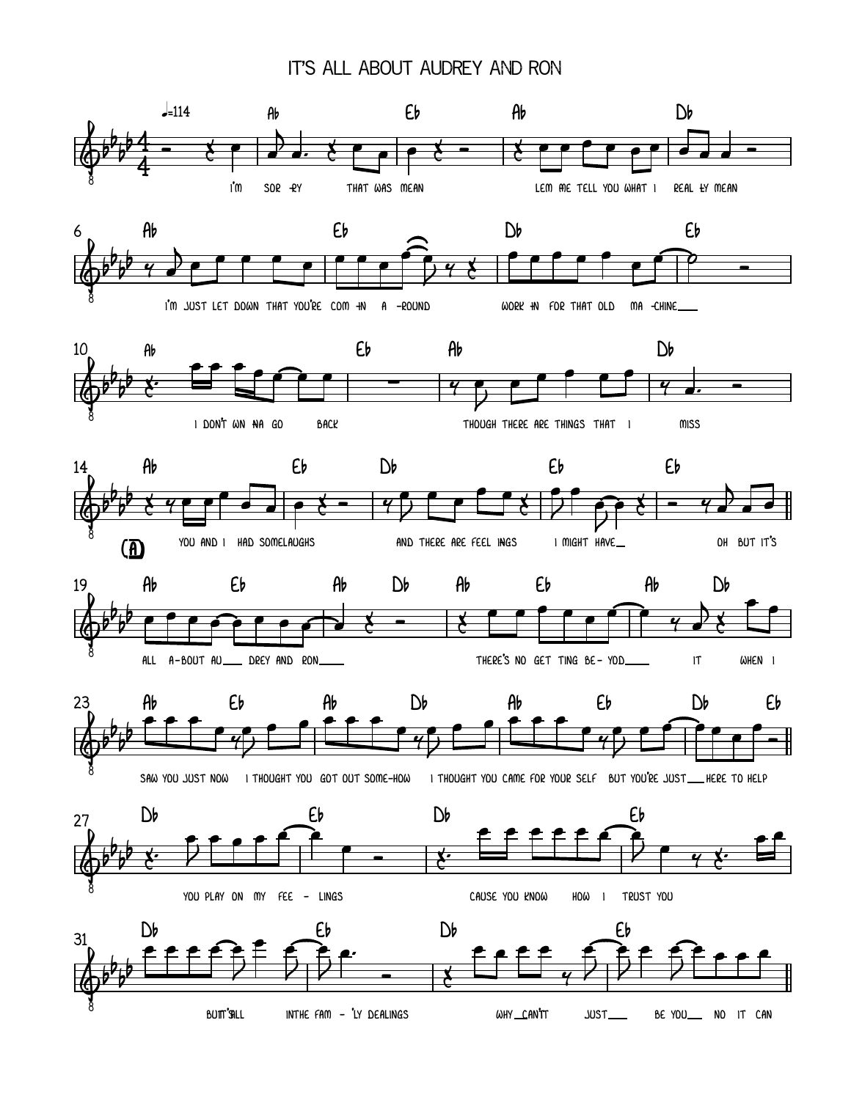## it's all about audrey and ron